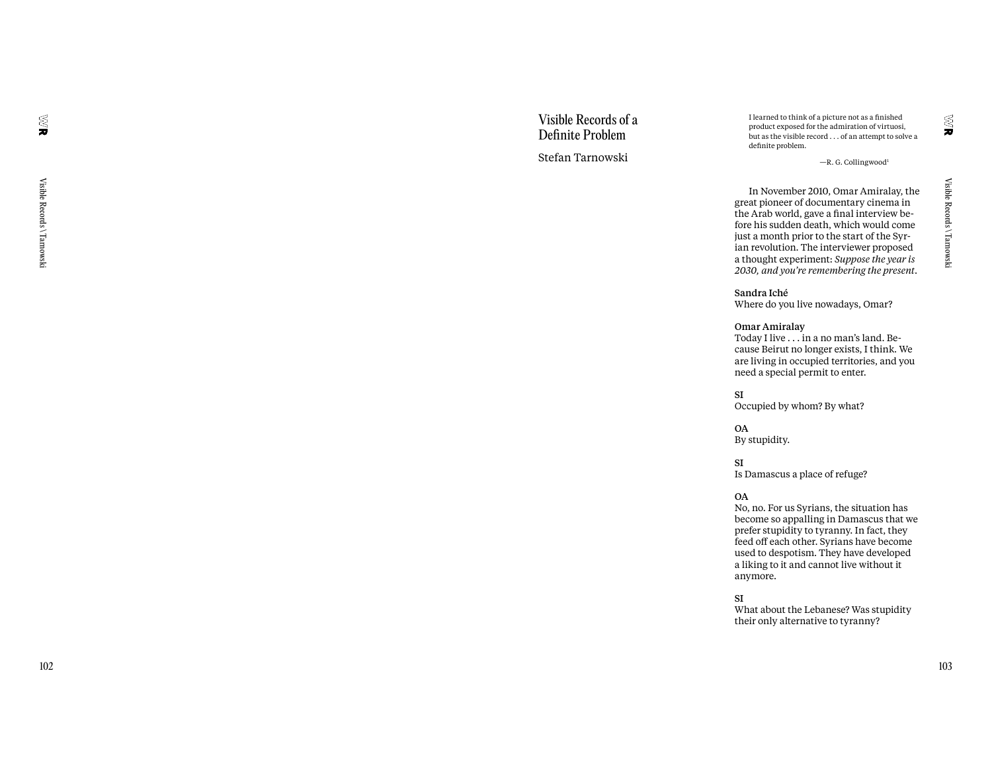## Visible Records of a Definite Problem Stefan Tarnowski

I learned to think of a picture not as a finished product exposed for the admiration of virtuosi, but as the visible record . . . of an attempt to solve a definite problem.

—R. G. Collingwood 1

In November 2010, Omar Amiralay, the great pioneer of documentary cinema in the Arab world, gave a final interview be fore his sudden death, which would come just a month prior to the start of the Syr ian revolution. The interviewer proposed a thought experiment: *Suppose the year is 2030, and you're remembering the present* .

#### Sandra Iché

Where do you live nowadays, Omar?

#### Omar Amiralay

Today I live . . . in a no man's land. Be cause Beirut no longer exists, I think. We are living in occupied territories, and you need a special permit to enter.

#### SI

Occupied by whom? By what?

OA By stupidity.

SI Is Damascus a place of refuge?

#### OA

No, no. For us Syrians, the situation has become so appalling in Damascus that we prefer stupidity to tyranny. In fact, they feed o ff each other. Syrians have become used to despotism. They have developed a liking to it and cannot live without it anymore.

SI

What about the Lebanese? Was stupidity their only alternative to tyranny?

S<br>J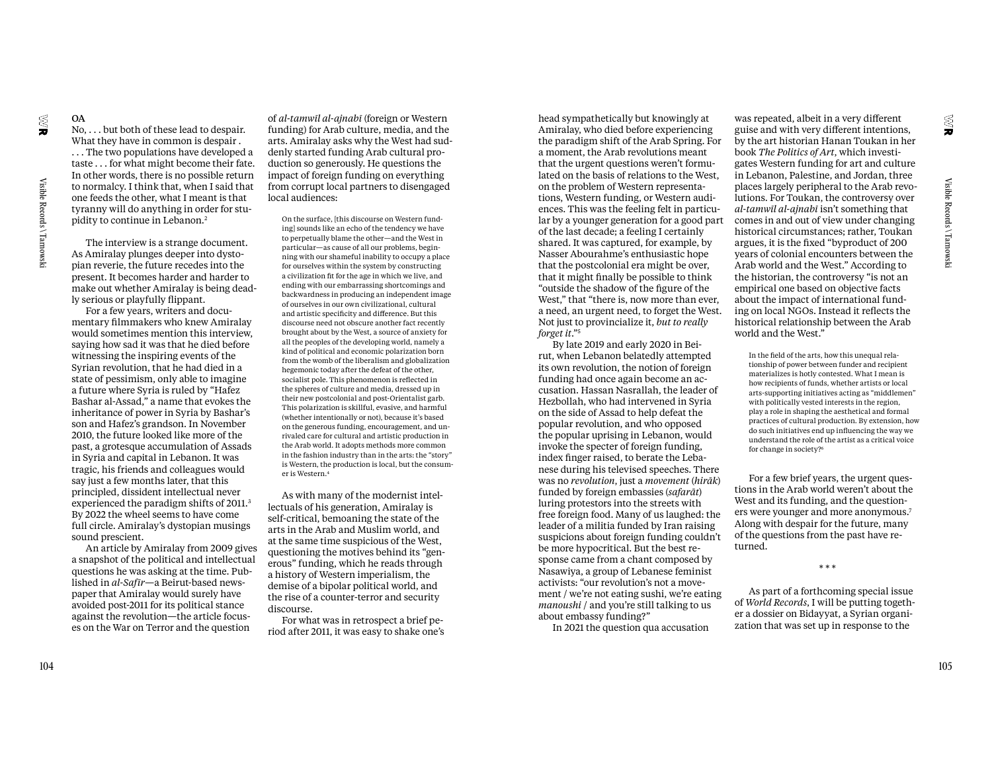OA

No, . . . but both of these lead to despair. What they have in common is despair . . . . The two populations have developed a taste . . . for what might become their fate. In other words, there is no possible return to normalcy. I think that, when I said that one feeds the other, what I meant is that tyranny will do anything in order for stupidity to continue in Lebanon.2

The interview is a strange document. As Amiralay plunges deeper into dystopian reverie, the future recedes into the present. It becomes harder and harder to make out whether Amiralay is being deadly serious or playfully flippant.

For a few years, writers and documentary filmmakers who knew Amiralay would sometimes mention this interview, saying how sad it was that he died before witnessing the inspiring events of the Syrian revolution, that he had died in a state of pessimism, only able to imagine a future where Syria is ruled by "Hafez Bashar al-Assad," a name that evokes the inheritance of power in Syria by Bashar's son and Hafez's grandson. In November 2010, the future looked like more of the past, a grotesque accumulation of Assads in Syria and capital in Lebanon. It was tragic, his friends and colleagues would say just a few months later, that this principled, dissident intellectual never experienced the paradigm shifts of 2011.3 By 2022 the wheel seems to have come full circle. Amiralay's dystopian musings sound prescient.

An article by Amiralay from 2009 gives a snapshot of the political and intellectual questions he was asking at the time. Published in *al-Safīr*—a Beirut-based newspaper that Amiralay would surely have avoided post-2011 for its political stance against the revolution—the article focuses on the War on Terror and the question

of *al-tamwīl al-ajnabī* (foreign or Western funding) for Arab culture, media, and the arts. Amiralay asks why the West had suddenly started funding Arab cultural production so generously. He questions the impact of foreign funding on everything from corrupt local partners to disengaged local audiences:

On the surface, [this discourse on Western funding] sounds like an echo of the tendency we have to perpetually blame the other—and the West in particular—as cause of all our problems, beginning with our shameful inability to occupy a place for ourselves within the system by constructing a civilization fit for the age in which we live, and ending with our embarrassing shortcomings and backwardness in producing an independent image of ourselves in our own civilizational, cultural and artistic specificity and difference. But this discourse need not obscure another fact recently brought about by the West, a source of anxiety for all the peoples of the developing world, namely a kind of political and economic polarization born from the womb of the liberalism and globalization hegemonic today after the defeat of the other, socialist pole. This phenomenon is reflected in the spheres of culture and media, dressed up in their new postcolonial and post-Orientalist garb. This polarization is skillful, evasive, and harmful (whether intentionally or not), because it's based on the generous funding, encouragement, and unrivaled care for cultural and artistic production in the Arab world. It adopts methods more common in the fashion industry than in the arts: the "story" is Western, the production is local, but the consumer is Western.4

As with many of the modernist intellectuals of his generation, Amiralay is self-critical, bemoaning the state of the arts in the Arab and Muslim world, and at the same time suspicious of the West, questioning the motives behind its "generous" funding, which he reads through a history of Western imperialism, the demise of a bipolar political world, and the rise of a counter-terror and security discourse.

For what was in retrospect a brief period after 2011, it was easy to shake one's

head sympathetically but knowingly at Amiralay, who died before experiencing the paradigm shift of the Arab Spring. For a moment, the Arab revolutions meant that the urgent questions weren't formulated on the basis of relations to the West, on the problem of Western representations, Western funding, or Western audiences. This was the feeling felt in particular by a younger generation for a good part of the last decade; a feeling I certainly shared. It was captured, for example, by Nasser Abourahme's enthusiastic hope that the postcolonial era might be over, that it might finally be possible to think "outside the shadow of the figure of the West," that "there is, now more than ever, a need, an urgent need, to forget the West. Not just to provincialize it, *but to really forget it*."5

By late 2019 and early 2020 in Beirut, when Lebanon belatedly attempted its own revolution, the notion of foreign funding had once again become an accusation. Hassan Nasrallah, the leader of Hezbollah, who had intervened in Syria on the side of Assad to help defeat the popular revolution, and who opposed the popular uprising in Lebanon, would invoke the specter of foreign funding, index finger raised, to berate the Lebanese during his televised speeches. There was no *revolution*, just a *movement* (*hirāk*) funded by foreign embassies (*safarāt*) luring protestors into the streets with free foreign food. Many of us laughed: the leader of a militia funded by Iran raising suspicions about foreign funding couldn't be more hypocritical. But the best response came from a chant composed by Nasawiya, a group of Lebanese feminist activists: "our revolution's not a movement / we're not eating sushi, we're eating *manoushi* / and you're still talking to us about embassy funding?"

In 2021 the question qua accusation

was repeated, albeit in a very different guise and with very different intentions, by the art historian Hanan Toukan in her book *The Politics of Art*, which investigates Western funding for art and culture in Lebanon, Palestine, and Jordan, three places largely peripheral to the Arab revolutions. For Toukan, the controversy over *al-tamwīl al-ajnabī* isn't something that comes in and out of view under changing historical circumstances; rather, Toukan argues, it is the fixed "byproduct of 200 years of colonial encounters between the Arab world and the West." According to the historian, the controversy "is not an empirical one based on objective facts about the impact of international funding on local NGOs. Instead it reflects the historical relationship between the Arab world and the West."

In the field of the arts, how this unequal relationship of power between funder and recipient materializes is hotly contested. What I mean is how recipients of funds, whether artists or local arts-supporting initiatives acting as "middlemen" with politically vested interests in the region, play a role in shaping the aesthetical and formal practices of cultural production. By extension, how do such initiatives end up influencing the way we understand the role of the artist as a critical voice for change in society?6

For a few brief years, the urgent questions in the Arab world weren't about the West and its funding, and the questioners were younger and more anonymous.7 Along with despair for the future, many of the questions from the past have returned.

\* \* \*

As part of a forthcoming special issue of *World Records*, I will be putting together a dossier on Bidayyat, a Syrian organization that was set up in response to the

≋

È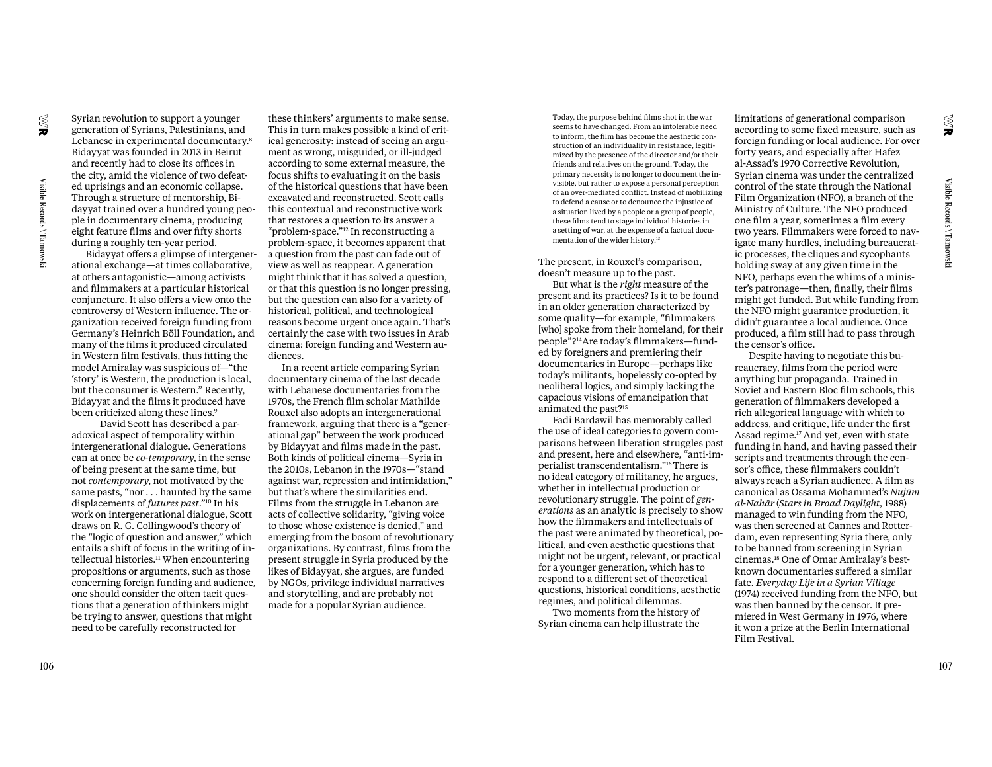generation of Syrians, Palestinians, and Lebanese in experimental documentary.8 Bidayyat was founded in 2013 in Beirut and recently had to close its offices in the city, amid the violence of two defeated uprisings and an economic collapse. Through a structure of mentorship, Bidayyat trained over a hundred young people in documentary cinema, producing eight feature films and over fifty shorts during a roughly ten-year period.

Syrian revolution to support a younger

Bidayyat offers a glimpse of intergenerational exchange—at times collaborative, at others antagonistic—among activists and filmmakers at a particular historical conjuncture. It also offers a view onto the controversy of Western influence. The organization received foreign funding from Germany's Heinrich Böll Foundation, and many of the films it produced circulated in Western film festivals, thus fitting the model Amiralay was suspicious of—"the 'story' is Western, the production is local, but the consumer is Western." Recently, Bidayyat and the films it produced have been criticized along these lines.<sup>9</sup>

David Scott has described a paradoxical aspect of temporality within intergenerational dialogue. Generations can at once be *co-temporary*, in the sense of being present at the same time, but not *contemporary*, not motivated by the same pasts, "nor . . . haunted by the same displacements of *futures past*."10 In his work on intergenerational dialogue, Scott draws on R. G. Collingwood's theory of the "logic of question and answer," which entails a shift of focus in the writing of intellectual histories.11 When encountering propositions or arguments, such as those concerning foreign funding and audience, one should consider the often tacit questions that a generation of thinkers might be trying to answer, questions that might need to be carefully reconstructed for

these thinkers' arguments to make sense. This in turn makes possible a kind of critical generosity: instead of seeing an argument as wrong, misguided, or ill-judged according to some external measure, the focus shifts to evaluating it on the basis of the historical questions that have been excavated and reconstructed. Scott calls this contextual and reconstructive work that restores a question to its answer a "problem-space."12 In reconstructing a problem-space, it becomes apparent that a question from the past can fade out of view as well as reappear. A generation might think that it has solved a question, or that this question is no longer pressing, but the question can also for a variety of historical, political, and technological reasons become urgent once again. That's certainly the case with two issues in Arab cinema: foreign funding and Western audiences.

In a recent article comparing Syrian documentary cinema of the last decade with Lebanese documentaries from the 1970s, the French film scholar Mathilde Rouxel also adopts an intergenerational framework, arguing that there is a "generational gap" between the work produced by Bidayyat and films made in the past. Both kinds of political cinema—Syria in the 2010s, Lebanon in the 1970s—"stand against war, repression and intimidation," but that's where the similarities end. Films from the struggle in Lebanon are acts of collective solidarity, "giving voice to those whose existence is denied," and emerging from the bosom of revolutionary organizations. By contrast, films from the present struggle in Syria produced by the likes of Bidayyat, she argues, are funded by NGOs, privilege individual narratives and storytelling, and are probably not made for a popular Syrian audience.

Today, the purpose behind films shot in the war seems to have changed. From an intolerable need to inform, the film has become the aesthetic construction of an individuality in resistance, legitimized by the presence of the director and/or their friends and relatives on the ground. Today, the primary necessity is no longer to document the invisible, but rather to expose a personal perception of an over-mediated conflict. Instead of mobilizing to defend a cause or to denounce the injustice of a situation lived by a people or a group of people, these films tend to stage individual histories in a setting of war, at the expense of a factual documentation of the wider history.13

The present, in Rouxel's comparison, doesn't measure up to the past.

But what is the *right* measure of the present and its practices? Is it to be found in an older generation characterized by some quality—for example, "filmmakers [who] spoke from their homeland, for their people"?14Are today's filmmakers—funded by foreigners and premiering their documentaries in Europe—perhaps like today's militants, hopelessly co-opted by neoliberal logics, and simply lacking the capacious visions of emancipation that animated the past?15

Fadi Bardawil has memorably called the use of ideal categories to govern comparisons between liberation struggles past and present, here and elsewhere, "anti-imperialist transcendentalism."16 There is no ideal category of militancy, he argues, whether in intellectual production or revolutionary struggle. The point of *generations* as an analytic is precisely to show how the filmmakers and intellectuals of the past were animated by theoretical, political, and even aesthetic questions that might not be urgent, relevant, or practical for a younger generation, which has to respond to a different set of theoretical questions, historical conditions, aesthetic regimes, and political dilemmas.

Two moments from the history of Syrian cinema can help illustrate the limitations of generational comparison according to some fixed measure, such as foreign funding or local audience. For over forty years, and especially after Hafez al-Assad's 1970 Corrective Revolution, Syrian cinema was under the centralized control of the state through the National Film Organization (NFO), a branch of the Ministry of Culture. The NFO produced one film a year, sometimes a film every two years. Filmmakers were forced to navigate many hurdles, including bureaucratic processes, the cliques and sycophants holding sway at any given time in the NFO, perhaps even the whims of a minister's patronage—then, finally, their films might get funded. But while funding from the NFO might guarantee production, it didn't guarantee a local audience. Once produced, a film still had to pass through the censor's office.

Despite having to negotiate this bureaucracy, films from the period were anything but propaganda. Trained in Soviet and Eastern Bloc film schools, this generation of filmmakers developed a rich allegorical language with which to address, and critique, life under the first Assad regime.17 And yet, even with state funding in hand, and having passed their scripts and treatments through the censor's office, these filmmakers couldn't always reach a Syrian audience. A film as canonical as Ossama Mohammed's *Nujūm al-Nahār* (*Stars in Broad Daylight*, 1988) managed to win funding from the NFO, was then screened at Cannes and Rotterdam, even representing Syria there, only to be banned from screening in Syrian cinemas.18 One of Omar Amiralay's bestknown documentaries suffered a similar fate. *Everyday Life in a Syrian Village* (1974) received funding from the NFO, but was then banned by the censor. It premiered in West Germany in 1976, where it won a prize at the Berlin International Film Festival.

g

õ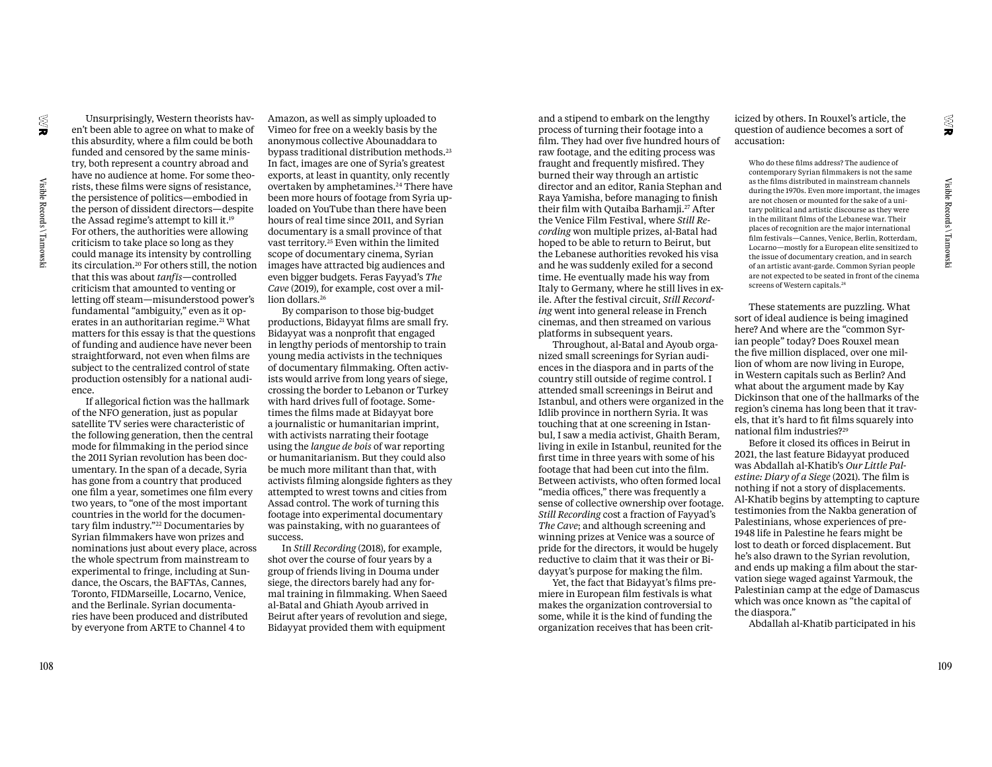Visible Records \ Tarnowski

en't been able to agree on what to make of this absurdity, where a film could be both funded and censored by the same ministry, both represent a country abroad and have no audience at home. For some theorists, these films were signs of resistance, the persistence of politics—embodied in the person of dissident directors—despite the Assad regime's attempt to kill it.19 For others, the authorities were allowing criticism to take place so long as they could manage its intensity by controlling its circulation.20 For others still, the notion that this was about *tanfīs*—controlled criticism that amounted to venting or letting off steam—misunderstood power's fundamental "ambiguity," even as it operates in an authoritarian regime.<sup>21</sup> What matters for this essay is that the questions of funding and audience have never been straightforward, not even when films are subject to the centralized control of state production ostensibly for a national audience.

Unsurprisingly, Western theorists hav-

If allegorical fiction was the hallmark of the NFO generation, just as popular satellite TV series were characteristic of the following generation, then the central mode for filmmaking in the period since the 2011 Syrian revolution has been documentary. In the span of a decade, Syria has gone from a country that produced one film a year, sometimes one film every two years, to "one of the most important countries in the world for the documentary film industry."22 Documentaries by Syrian filmmakers have won prizes and nominations just about every place, across the whole spectrum from mainstream to experimental to fringe, including at Sundance, the Oscars, the BAFTAs, Cannes, Toronto, FIDMarseille, Locarno, Venice, and the Berlinale. Syrian documentaries have been produced and distributed by everyone from ARTE to Channel 4 to

Amazon, as well as simply uploaded to Vimeo for free on a weekly basis by the anonymous collective Abounaddara to bypass traditional distribution methods.<sup>23</sup> In fact, images are one of Syria's greatest exports, at least in quantity, only recently overtaken by amphetamines.24 There have been more hours of footage from Syria uploaded on YouTube than there have been hours of real time since 2011, and Syrian documentary is a small province of that vast territory.25 Even within the limited scope of documentary cinema, Syrian images have attracted big audiences and even bigger budgets. Feras Fayyad's *The Cave* (2019), for example, cost over a million dollars.<sup>26</sup>

By comparison to those big-budget productions, Bidayyat films are small fry. Bidayyat was a nonprofit that engaged in lengthy periods of mentorship to train young media activists in the techniques of documentary filmmaking. Often activists would arrive from long years of siege, crossing the border to Lebanon or Turkey with hard drives full of footage. Sometimes the films made at Bidayyat bore a journalistic or humanitarian imprint, with activists narrating their footage using the *langue de bois* of war reporting or humanitarianism. But they could also be much more militant than that, with activists filming alongside fighters as they attempted to wrest towns and cities from Assad control. The work of turning this footage into experimental documentary was painstaking, with no guarantees of success.

In *Still Recording* (2018), for example, shot over the course of four years by a group of friends living in Douma under siege, the directors barely had any formal training in filmmaking. When Saeed al-Batal and Ghiath Ayoub arrived in Beirut after years of revolution and siege, Bidayyat provided them with equipment and a stipend to embark on the lengthy process of turning their footage into a film. They had over five hundred hours of raw footage, and the editing process was fraught and frequently misfired. They burned their way through an artistic director and an editor, Rania Stephan and Raya Yamisha, before managing to finish their film with Qutaiba Barhamji.<sup>27</sup> After the Venice Film Festival, where *Still Recording* won multiple prizes, al-Batal had hoped to be able to return to Beirut, but the Lebanese authorities revoked his visa and he was suddenly exiled for a second time. He eventually made his way from Italy to Germany, where he still lives in exile. After the festival circuit, *Still Recording* went into general release in French cinemas, and then streamed on various platforms in subsequent years.

Throughout, al-Batal and Ayoub organized small screenings for Syrian audiences in the diaspora and in parts of the country still outside of regime control. I attended small screenings in Beirut and Istanbul, and others were organized in the Idlib province in northern Syria. It was touching that at one screening in Istanbul, I saw a media activist, Ghaith Beram, living in exile in Istanbul, reunited for the first time in three years with some of his footage that had been cut into the film. Between activists, who often formed local "media offices," there was frequently a sense of collective ownership over footage. *Still Recording* cost a fraction of Fayyad's *The Cave*; and although screening and winning prizes at Venice was a source of pride for the directors, it would be hugely reductive to claim that it was their or Bidayyat's purpose for making the film.

Yet, the fact that Bidayyat's films premiere in European film festivals is what makes the organization controversial to some, while it is the kind of funding the organization receives that has been criticized by others. In Rouxel's article, the question of audience becomes a sort of accusation:

Who do these films address? The audience of contemporary Syrian filmmakers is not the same as the films distributed in mainstream channels during the 1970s. Even more important, the images are not chosen or mounted for the sake of a unitary political and artistic discourse as they were in the militant films of the Lebanese war. Their places of recognition are the major international film festivals—Cannes, Venice, Berlin, Rotterdam, Locarno—mostly for a European elite sensitized to the issue of documentary creation, and in search of an artistic avant-garde. Common Syrian people are not expected to be seated in front of the cinema screens of Western capitals.<sup>28</sup>

These statements are puzzling. What sort of ideal audience is being imagined here? And where are the "common Syrian people" today? Does Rouxel mean the five million displaced, over one million of whom are now living in Europe, in Western capitals such as Berlin? And what about the argument made by Kay Dickinson that one of the hallmarks of the region's cinema has long been that it travels, that it's hard to fit films squarely into national film industries?29

Before it closed its offices in Beirut in 2021, the last feature Bidayyat produced was Abdallah al-Khatib's *Our Little Palestine: Diary of a Siege* (2021). The film is nothing if not a story of displacements. Al-Khatib begins by attempting to capture testimonies from the Nakba generation of Palestinians, whose experiences of pre-1948 life in Palestine he fears might be lost to death or forced displacement. But he's also drawn to the Syrian revolution, and ends up making a film about the starvation siege waged against Yarmouk, the Palestinian camp at the edge of Damascus which was once known as "the capital of the diaspora."

Abdallah al-Khatib participated in his

Visible Records \ Tarnowski

Visible Records \ Tarnowski

g

ì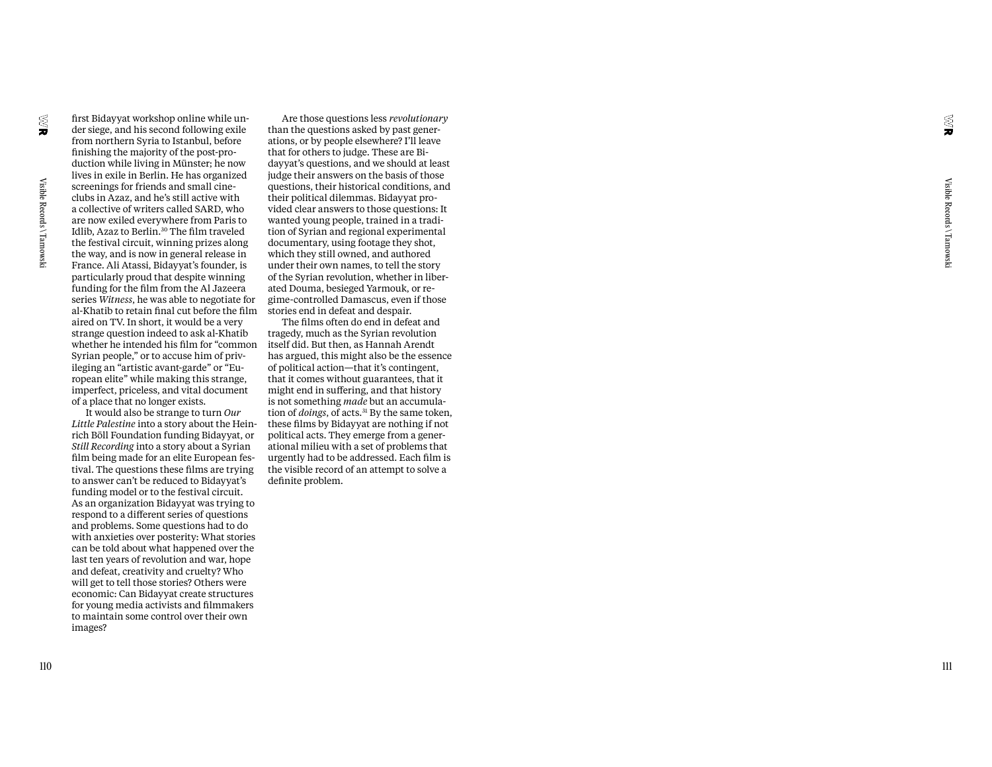finishing the majority of the post-pro duction while living in Münster; he now lives in exile in Berlin. He has organized screenings for friends and small cineclubs in Azaz, and he's still active with a collective of writers called SARD, who are now exiled everywhere from Paris to Idlib, Azaz to Berlin.30 The film traveled the festival circuit, winning prizes along the way, and is now in general release in France. Ali Atassi, Bidayyat's founder, is particularly proud that despite winning funding for the film from the Al Jazeera series *Witness*, he was able to negotiate for al-Khatib to retain final cut before the film aired on TV. In short, it would be a very strange question indeed to ask al-Khatib whether he intended his film for "common Syrian people," or to accuse him of priv ileging an "artistic avant-garde" or "Eu ropean elite" while making this strange, imperfect, priceless, and vital document

first Bidayyat workshop online while un der siege, and his second following exile from northern Syria to Istanbul, before

of a place that no longer exists. It would also be strange to turn *Our Little Palestine* into a story about the Hein rich Böll Foundation funding Bidayyat, or *Still Recording* into a story about a Syrian film being made for an elite European fes tival. The questions these films are trying to answer can't be reduced to Bidayyat's funding model or to the festival circuit. As an organization Bidayyat was trying to respond to a di fferent series of questions and problems. Some questions had to do with anxieties over posterity: What stories can be told about what happened over the last ten years of revolution and war, hope and defeat, creativity and cruelty? Who will get to tell those stories? Others were economic: Can Bidayyat create structures for young media activists and filmmakers to maintain some control over their own images?

Are those questions less *revolutionary* than the questions asked by past gener ations, or by people elsewhere? I'll leave that for others to judge. These are Bi dayyat's questions, and we should at least judge their answers on the basis of those questions, their historical conditions, and their political dilemmas. Bidayyat pro vided clear answers to those questions: It wanted young people, trained in a tradi tion of Syrian and regional experimental documentary, using footage they shot, which they still owned, and authored under their own names, to tell the story of the Syrian revolution, whether in liber ated Douma, besieged Yarmouk, or re gime-controlled Damascus, even if those stories end in defeat and despair.

The films often do end in defeat and tragedy, much as the Syrian revolution itself did. But then, as Hannah Arendt has argued, this might also be the essence of political action—that it's contingent, that it comes without guarantees, that it might end in su ffering, and that history is not something *made* but an accumula tion of *doings*, of acts.<sup>31</sup> By the same token, these films by Bidayyat are nothing if not political acts. They emerge from a gener ational milieu with a set of problems that urgently had to be addressed. Each film is the visible record of an attempt to solve a definite problem.